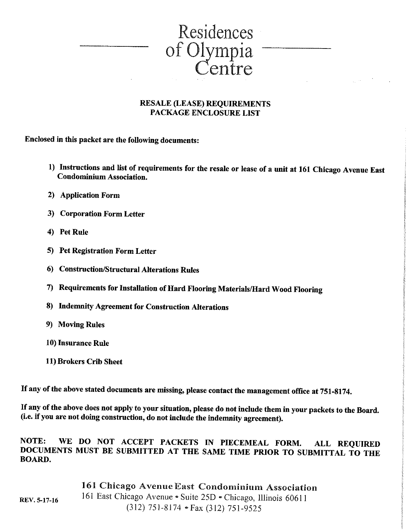

#### **RESALE (LEASE) REQUIREMENTS PACKAGE ENCLOSURE LIST**

Enclosed in this packet are the following documents:

- 1) Instructions and list of requirements for the resale or lease of a unit at 161 Chicago Avenue East **Condominium Association.**
- 2) Application Form
- 3) Corporation Form Letter
- 4) Pet Rule
- 5) Pet Registration Form Letter
- 6) Construction/Structural Alterations Rules
- 7) Requirements for Installation of Hard Flooring Materials/Hard Wood Flooring
- 8) Indemnity Agreement for Construction Alterations
- 9) Moving Rules
- 10) Insurance Rule

REV. 5-17-16

11) Brokers Crib Sheet

If any of the above stated documents are missing, please contact the management office at 751-8174.

If any of the above does not apply to your situation, please do not include them in your packets to the Board. (i.e. if you are not doing construction, do not include the indemnity agreement).

WE DO NOT ACCEPT PACKETS IN PIECEMEAL FORM. NOTE: **ALL REQUIRED** DOCUMENTS MUST BE SUBMITTED AT THE SAME TIME PRIOR TO SUBMITTAL TO THE **BOARD.** 

> 161 Chicago Avenue East Condominium Association 161 East Chicago Avenue · Suite 25D · Chicago, Illinois 60611  $(312)$  751-8174 • Fax (312) 751-9525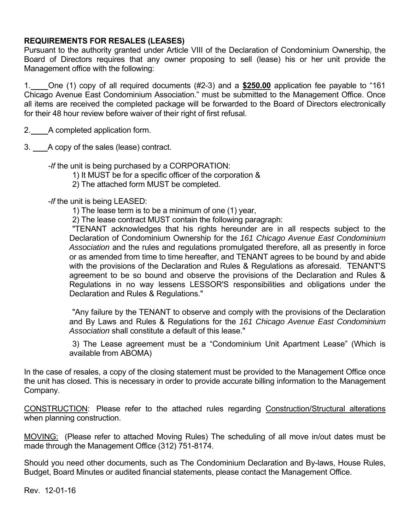### **REQUIREMENTS FOR RESALES (LEASES)**

Pursuant to the authority granted under Article VIII of the Declaration of Condominium Ownership, the Board of Directors requires that any owner proposing to sell (lease) his or her unit provide the Management office with the following:

1. One (1) copy of all required documents (#2-3) and a **\$250.00** application fee payable to "161 Chicago Avenue East Condominium Association." must be submitted to the Management Office. Once all items are received the completed package will be forwarded to the Board of Directors electronically for their 48 hour review before waiver of their right of first refusal.

2. A completed application form.

3. A copy of the sales (lease) contract.

-*If* the unit is being purchased by a CORPORATION:

1) It MUST be for a specific officer of the corporation &

2) The attached form MUST be completed.

-*If* the unit is being LEASED:

1) The lease term is to be a minimum of one (1) year,

2) The lease contract MUST contain the following paragraph:

 "TENANT acknowledges that his rights hereunder are in all respects subject to the Declaration of Condominium Ownership for the *161 Chicago Avenue East Condominium Association* and the rules and regulations promulgated therefore, all as presently in force or as amended from time to time hereafter, and TENANT agrees to be bound by and abide with the provisions of the Declaration and Rules & Regulations as aforesaid. TENANT'S agreement to be so bound and observe the provisions of the Declaration and Rules & Regulations in no way lessens LESSOR'S responsibilities and obligations under the Declaration and Rules & Regulations."

 "Any failure by the TENANT to observe and comply with the provisions of the Declaration and By Laws and Rules & Regulations for the *161 Chicago Avenue East Condominium Association* shall constitute a default of this lease."

3) The Lease agreement must be a "Condominium Unit Apartment Lease" (Which is available from ABOMA)

In the case of resales, a copy of the closing statement must be provided to the Management Office once the unit has closed. This is necessary in order to provide accurate billing information to the Management Company.

CONSTRUCTION: Please refer to the attached rules regarding Construction/Structural alterations when planning construction.

MOVING: (Please refer to attached Moving Rules) The scheduling of all move in/out dates must be made through the Management Office (312) 751-8174.

Should you need other documents, such as The Condominium Declaration and By-laws, House Rules, Budget, Board Minutes or audited financial statements, please contact the Management Office.

Rev. 12-01-16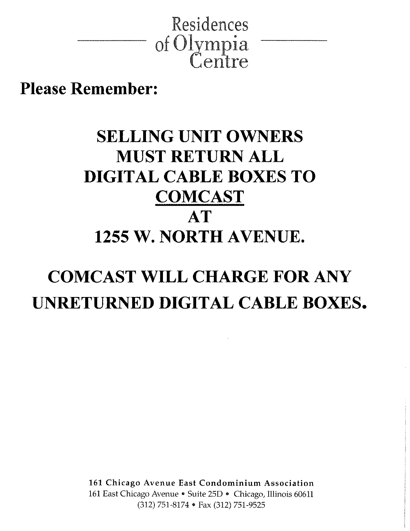

**Please Remember:** 

# **SELLING UNIT OWNERS MUST RETURN ALL DIGITAL CABLE BOXES TO COMCAST**  $AT$ 1255 W. NORTH AVENUE.

# **COMCAST WILL CHARGE FOR ANY** UNRETURNED DIGITAL CABLE BOXES.

161 Chicago Avenue East Condominium Association 161 East Chicago Avenue · Suite 25D · Chicago, Illinois 60611 (312) 751-8174 • Fax (312) 751-9525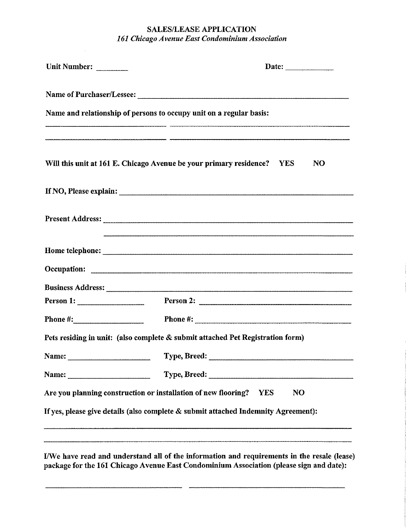### **SALES/LEASE APPLICATION** 161 Chicago Avenue East Condominium Association

| Unit Number: |                                                                                                                                                                                                                                                                                                                    |  |
|--------------|--------------------------------------------------------------------------------------------------------------------------------------------------------------------------------------------------------------------------------------------------------------------------------------------------------------------|--|
|              |                                                                                                                                                                                                                                                                                                                    |  |
|              | Name and relationship of persons to occupy unit on a regular basis:                                                                                                                                                                                                                                                |  |
|              | Will this unit at 161 E. Chicago Avenue be your primary residence?<br>N <sub>O</sub><br><b>YES</b>                                                                                                                                                                                                                 |  |
|              |                                                                                                                                                                                                                                                                                                                    |  |
|              |                                                                                                                                                                                                                                                                                                                    |  |
|              |                                                                                                                                                                                                                                                                                                                    |  |
|              |                                                                                                                                                                                                                                                                                                                    |  |
|              |                                                                                                                                                                                                                                                                                                                    |  |
| Person 1:    | Phone #: $\frac{1}{2}$ $\frac{1}{2}$ $\frac{1}{2}$ $\frac{1}{2}$ $\frac{1}{2}$ $\frac{1}{2}$ $\frac{1}{2}$ $\frac{1}{2}$ $\frac{1}{2}$ $\frac{1}{2}$ $\frac{1}{2}$ $\frac{1}{2}$ $\frac{1}{2}$ $\frac{1}{2}$ $\frac{1}{2}$ $\frac{1}{2}$ $\frac{1}{2}$ $\frac{1}{2}$ $\frac{1}{2}$ $\frac{1}{2}$ $\frac{1}{2}$ $\$ |  |
|              | Pets residing in unit: (also complete & submit attached Pet Registration form)                                                                                                                                                                                                                                     |  |
| Name:        | Type, Breed:                                                                                                                                                                                                                                                                                                       |  |
|              |                                                                                                                                                                                                                                                                                                                    |  |
|              | Are you planning construction or installation of new flooring?<br>NO<br><b>YES</b>                                                                                                                                                                                                                                 |  |
|              | If yes, please give details (also complete & submit attached Indemnity Agreement):                                                                                                                                                                                                                                 |  |
|              |                                                                                                                                                                                                                                                                                                                    |  |
|              | I/We have read and understand all of the information and requirements in the resale (lease)                                                                                                                                                                                                                        |  |

package for the 161 Chicago Avenue East Condominium Association (please sign and date):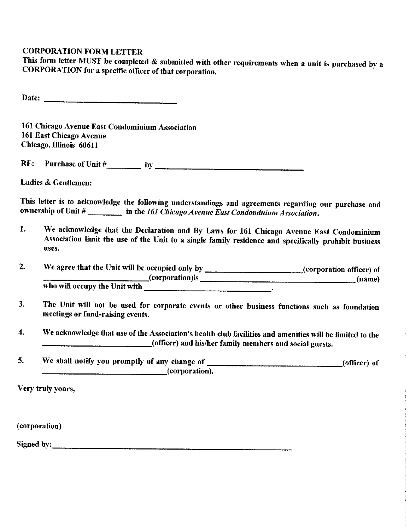### **CORPORATION FORM LETTER**

This form letter MUST be completed  $\&$  submitted with other requirements when a unit is purchased by a CORPORATION for a specific officer of that corporation.

161 Chicago Avenue East Condominium Association 161 East Chicago Avenue Chicago, Illinois 60611

RE:

Ladies & Gentlemen:

This letter is to acknowledge the following understandings and agreements regarding our purchase and ownership of Unit #  $\frac{1}{\sqrt{1-\frac{1}{n}}}\$  in the 161 Chicago Avenue East Condominium Association.

- We acknowledge that the Declaration and By Laws for 161 Chicago Avenue East Condominium 1. Association limit the use of the Unit to a single family residence and specifically prohibit business uses.
- We agree that the Unit will be occupied only by \_\_\_\_\_\_\_\_\_\_\_\_\_\_\_\_\_\_\_\_\_\_(corporation officer) of  $2.$
- $3.$ The Unit will not be used for corporate events or other business functions such as foundation meetings or fund-raising events.
- $\boldsymbol{4}$ . We acknowledge that use of the Association's health club facilities and amenities will be limited to the (officer) and his/her family members and social guests.
- 5.  $(corporation).$

Very truly yours,

(corporation)

Signed by: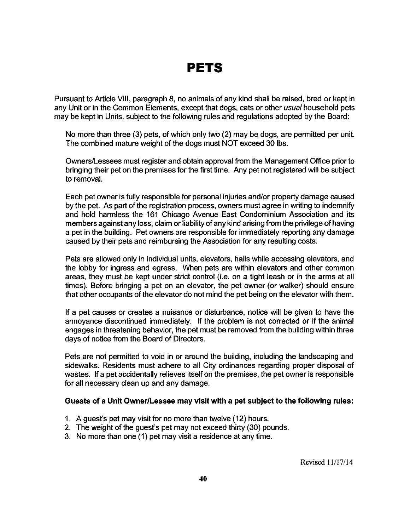# **PETS**

Pursuant to Article VIII, paragraph 8, no animals of any kind shall be raised, bred or kept in any Unit or in the Common Elements, except that dogs, cats or other usual household pets may be kept in Units, subject to the following rules and regulations adopted by the Board:

No more than three (3) pets, of which only two (2) may be dogs, are permitted per unit. The combined mature weight of the dogs must NOT exceed 30 lbs.

Owners/Lessees must register and obtain approval from the Management Office prior to bringing their pet on the premises for the first time. Any pet not registered will be subject to removal.

Each pet owner is fully responsible for personal injuries and/or property damage caused by the pet. As part of the registration process, owners must agree in writing to indemnify and hold harmless the 161 Chicago Avenue East Condominium Association and its members against any loss, claim or liability of any kind arising from the privilege of having a pet in the building. Pet owners are responsible for immediately reporting any damage caused by their pets and reimbursing the Association for any resulting costs.

Pets are allowed only in individual units, elevators, halls while accessing elevators, and the lobby for ingress and egress. When pets are within elevators and other common areas, they must be kept under strict control (i.e. on a tight leash or in the arms at all times). Before bringing a pet on an elevator, the pet owner (or walker) should ensure that other occupants of the elevator do not mind the pet being on the elevator with them.

If a pet causes or creates a nuisance or disturbance, notice will be given to have the annoyance discontinued immediately. If the problem is not corrected or if the animal engages in threatening behavior, the pet must be removed from the building within three days of notice from the Board of Directors.

Pets are not permitted to void in or around the building, including the landscaping and sidewalks. Residents must adhere to all City ordinances regarding proper disposal of wastes. If a pet accidentally relieves itself on the premises, the pet owner is responsible for all necessary clean up and any damage.

#### Guests of a Unit Owner/Lessee may visit with a pet subject to the following rules:

- 1. A guest's pet may visit for no more than twelve (12) hours.
- 2. The weight of the guest's pet may not exceed thirty (30) pounds.
- 3. No more than one (1) pet may visit a residence at any time.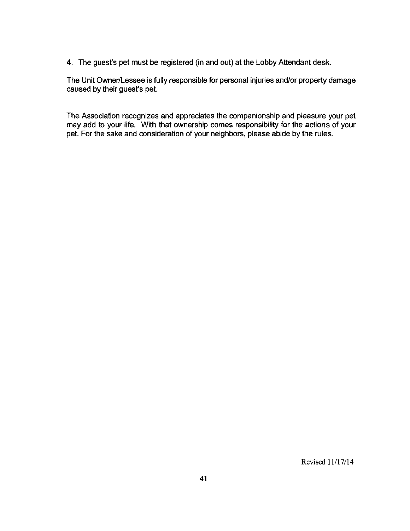4. The guest's pet must be registered (in and out) at the Lobby Attendant desk.

The Unit Owner/Lessee is fully responsible for personal injuries and/or property damage caused by their guest's pet.

The Association recognizes and appreciates the companionship and pleasure your pet may add to your life. With that ownership comes responsibility for the actions of your pet. For the sake and consideration of your neighbors, please abide by the rules.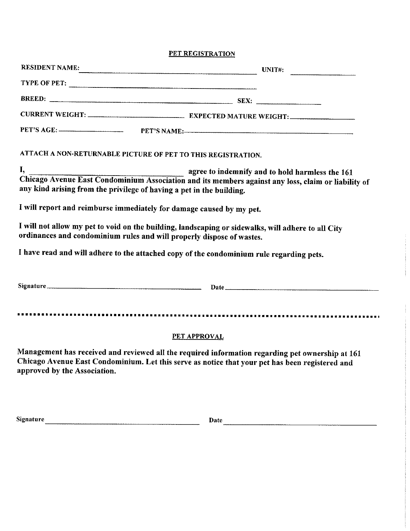PET REGISTRATION

|                              | RESIDENT NAME: UNIT#:                                                                                                                                                                                                                |
|------------------------------|--------------------------------------------------------------------------------------------------------------------------------------------------------------------------------------------------------------------------------------|
|                              | TYPE OF PET:                                                                                                                                                                                                                         |
|                              | $BREED:$ SEX:                                                                                                                                                                                                                        |
|                              |                                                                                                                                                                                                                                      |
|                              | PET'S AGE: PET'S NAME:                                                                                                                                                                                                               |
|                              | ATTACH A NON-RETURNABLE PICTURE OF PET TO THIS REGISTRATION.                                                                                                                                                                         |
|                              | I,<br>agree to indemnify and to hold harmless the 161<br>Chicago Avenue East Condominium Association and its members against any loss, claim or liability of<br>any kind arising from the privilege of having a pet in the building. |
|                              | I will report and reimburse immediately for damage caused by my pet.                                                                                                                                                                 |
|                              | I will not allow my pet to void on the building, landscaping or sidewalks, will adhere to all City<br>ordinances and condominium rules and will properly dispose of wastes.                                                          |
|                              | I have read and will adhere to the attached copy of the condominium rule regarding pets.                                                                                                                                             |
|                              |                                                                                                                                                                                                                                      |
|                              |                                                                                                                                                                                                                                      |
|                              | PET APPROVAL                                                                                                                                                                                                                         |
| approved by the Association. | Management has received and reviewed all the required information regarding pet ownership at 161<br>Chicago Avenue East Condominium. Let this serve as notice that your pet has been registered and                                  |
|                              |                                                                                                                                                                                                                                      |
| Signature                    | Date                                                                                                                                                                                                                                 |
|                              |                                                                                                                                                                                                                                      |
|                              |                                                                                                                                                                                                                                      |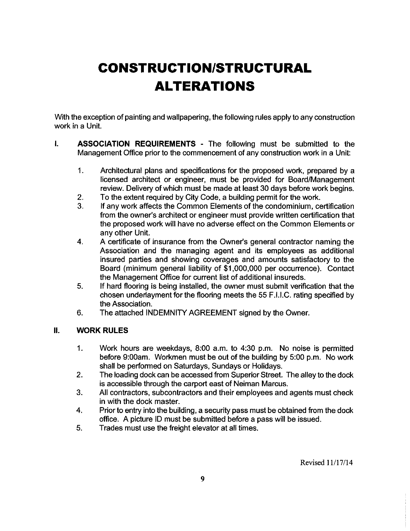# **CONSTRUCTION/STRUCTURAL ALTERATIONS**

With the exception of painting and wallpapering, the following rules apply to any construction work in a Unit.

- $\mathbf{I}$ ASSOCIATION REQUIREMENTS - The following must be submitted to the Management Office prior to the commencement of any construction work in a Unit:
	- $1<sub>1</sub>$ Architectural plans and specifications for the proposed work, prepared by a licensed architect or engineer, must be provided for Board/Management review. Delivery of which must be made at least 30 days before work begins.
	- To the extent required by City Code, a building permit for the work.  $2.$
	- If any work affects the Common Elements of the condominium, certification 3. from the owner's architect or engineer must provide written certification that the proposed work will have no adverse effect on the Common Elements or any other Unit.
	- $\overline{4}$ . A certificate of insurance from the Owner's general contractor naming the Association and the managing agent and its employees as additional insured parties and showing coverages and amounts satisfactory to the Board (minimum general liability of \$1,000,000 per occurrence). Contact the Management Office for current list of additional insureds.
	- 5. If hard flooring is being installed, the owner must submit verification that the chosen underlayment for the flooring meets the 55 F.I.I.C. rating specified by the Association.
	- 6. The attached INDEMNITY AGREEMENT signed by the Owner.

#### $\mathbf{II}$ . **WORK RULES**

- $1.$ Work hours are weekdays, 8:00 a.m. to 4:30 p.m. No noise is permitted before 9:00am. Workmen must be out of the building by 5:00 p.m. No work shall be performed on Saturdays, Sundays or Holidays.
- 2. The loading dock can be accessed from Superior Street. The alley to the dock is accessible through the carport east of Neiman Marcus.
- All contractors, subcontractors and their employees and agents must check 3. in with the dock master.
- 4. Prior to entry into the building, a security pass must be obtained from the dock office. A picture ID must be submitted before a pass will be issued.
- 5. Trades must use the freight elevator at all times.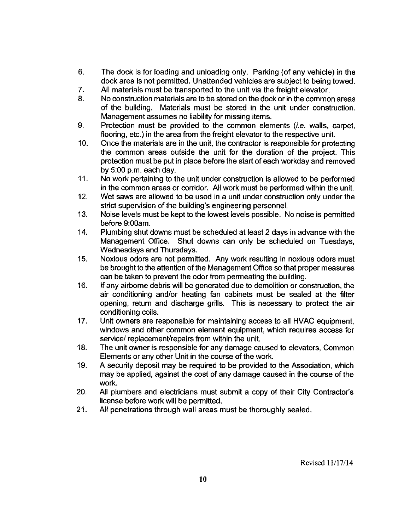- 6. The dock is for loading and unloading only. Parking (of any vehicle) in the dock area is not permitted. Unattended vehicles are subject to being towed.
- 7. All materials must be transported to the unit via the freight elevator.
- 8. No construction materials are to be stored on the dock or in the common areas of the building. Materials must be stored in the unit under construction. Management assumes no liability for missing items.
- 9. Protection must be provided to the common elements (*i.e.* walls, carpet, flooring, etc.) in the area from the freight elevator to the respective unit.
- $10.$ Once the materials are in the unit, the contractor is responsible for protecting the common areas outside the unit for the duration of the project. This protection must be put in place before the start of each workday and removed by 5:00 p.m. each day.
- $11.$ No work pertaining to the unit under construction is allowed to be performed in the common areas or corridor. All work must be performed within the unit.
- $12.$ Wet saws are allowed to be used in a unit under construction only under the strict supervision of the building's engineering personnel.
- $13.$ Noise levels must be kept to the lowest levels possible. No noise is permitted before 9:00am.
- $14.$ Plumbing shut downs must be scheduled at least 2 days in advance with the Management Office. Shut downs can only be scheduled on Tuesdays, Wednesdays and Thursdays.
- Noxious odors are not permitted. Any work resulting in noxious odors must  $15.$ be brought to the attention of the Management Office so that proper measures can be taken to prevent the odor from permeating the building.
- $16.$ If any airborne debris will be generated due to demolition or construction, the air conditioning and/or heating fan cabinets must be sealed at the filter opening, return and discharge grills. This is necessary to protect the air conditioning coils.
- $17.$ Unit owners are responsible for maintaining access to all HVAC equipment, windows and other common element equipment, which requires access for service/ replacement/repairs from within the unit.
- 18. The unit owner is responsible for any damage caused to elevators. Common Elements or any other Unit in the course of the work.
- 19. A security deposit may be required to be provided to the Association, which may be applied, against the cost of any damage caused in the course of the work.
- 20. All plumbers and electricians must submit a copy of their City Contractor's license before work will be permitted.
- $21.$ All penetrations through wall areas must be thoroughly sealed.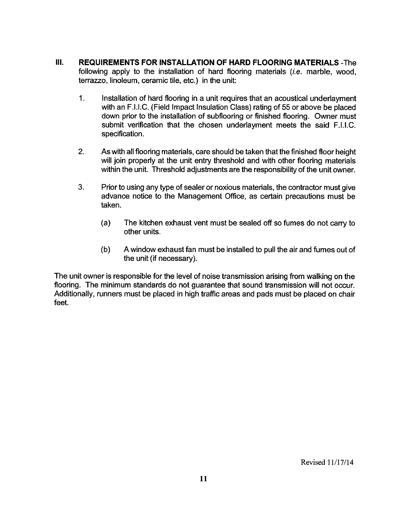- III. **REQUIREMENTS FOR INSTALLATION OF HARD FLOORING MATERIALS - The** following apply to the installation of hard flooring materials *(i.e.* marble, wood, terrazzo, linoleum, ceramic tile, etc.) in the unit:
	- $\mathbf{1}$ . Installation of hard flooring in a unit requires that an acoustical underlayment with an F.I.I.C. (Field Impact Insulation Class) rating of 55 or above be placed down prior to the installation of subflooring or finished flooring. Owner must submit verification that the chosen underlayment meets the said F.I.I.C. specification.
	- 2. As with all flooring materials, care should be taken that the finished floor height will join properly at the unit entry threshold and with other flooring materials within the unit. Threshold adjustments are the responsibility of the unit owner.
	- 3. Prior to using any type of sealer or noxious materials, the contractor must give advance notice to the Management Office, as certain precautions must be taken.
		- $(a)$ The kitchen exhaust vent must be sealed off so fumes do not carry to other units.
		- $(b)$ A window exhaust fan must be installed to pull the air and fumes out of the unit (if necessary).

The unit owner is responsible for the level of noise transmission arising from walking on the flooring. The minimum standards do not quarantee that sound transmission will not occur. Additionally, runners must be placed in high traffic areas and pads must be placed on chair feet.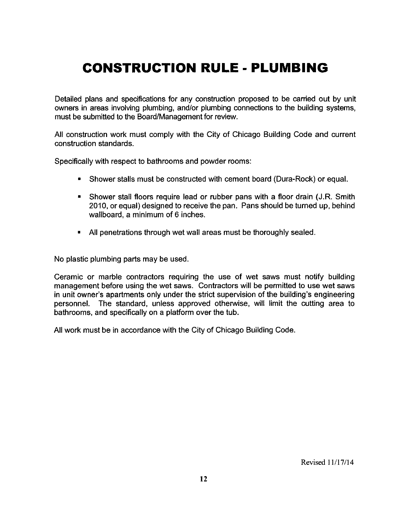# **CONSTRUCTION RULE - PLUMBING**

Detailed plans and specifications for any construction proposed to be carried out by unit owners in areas involving plumbing, and/or plumbing connections to the building systems, must be submitted to the Board/Management for review.

All construction work must comply with the City of Chicago Building Code and current construction standards.

Specifically with respect to bathrooms and powder rooms:

- Shower stalls must be constructed with cement board (Dura-Rock) or equal.
- Shower stall floors require lead or rubber pans with a floor drain (J.R. Smith 2010, or equal) designed to receive the pan. Pans should be turned up, behind wallboard, a minimum of 6 inches.
- All penetrations through wet wall areas must be thoroughly sealed.

No plastic plumbing parts may be used.

Ceramic or marble contractors requiring the use of wet saws must notify building management before using the wet saws. Contractors will be permitted to use wet saws in unit owner's apartments only under the strict supervision of the building's engineering personnel. The standard, unless approved otherwise, will limit the cutting area to bathrooms, and specifically on a platform over the tub.

All work must be in accordance with the City of Chicago Building Code.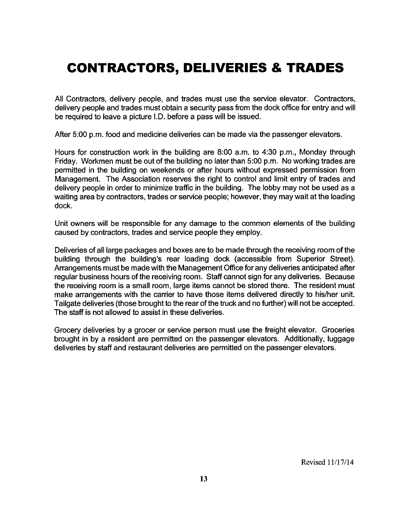# **CONTRACTORS, DELIVERIES & TRADES**

All Contractors, delivery people, and trades must use the service elevator. Contractors, delivery people and trades must obtain a security pass from the dock office for entry and will be required to leave a picture I.D. before a pass will be issued.

After 5:00 p.m. food and medicine deliveries can be made via the passenger elevators.

Hours for construction work in the building are 8:00 a.m. to 4:30 p.m., Monday through Friday. Workmen must be out of the building no later than 5:00 p.m. No working trades are permitted in the building on weekends or after hours without expressed permission from Management. The Association reserves the right to control and limit entry of trades and delivery people in order to minimize traffic in the building. The lobby may not be used as a waiting area by contractors, trades or service people; however, they may wait at the loading dock.

Unit owners will be responsible for any damage to the common elements of the building caused by contractors, trades and service people they employ.

Deliveries of all large packages and boxes are to be made through the receiving room of the building through the building's rear loading dock (accessible from Superior Street). Arrangements must be made with the Management Office for any deliveries anticipated after regular business hours of the receiving room. Staff cannot sign for any deliveries. Because the receiving room is a small room, large items cannot be stored there. The resident must make arrangements with the carrier to have those items delivered directly to his/her unit. Tailgate deliveries (those brought to the rear of the truck and no further) will not be accepted. The staff is not allowed to assist in these deliveries.

Grocery deliveries by a grocer or service person must use the freight elevator. Groceries brought in by a resident are permitted on the passenger elevators. Additionally, luggage deliveries by staff and restaurant deliveries are permitted on the passenger elevators.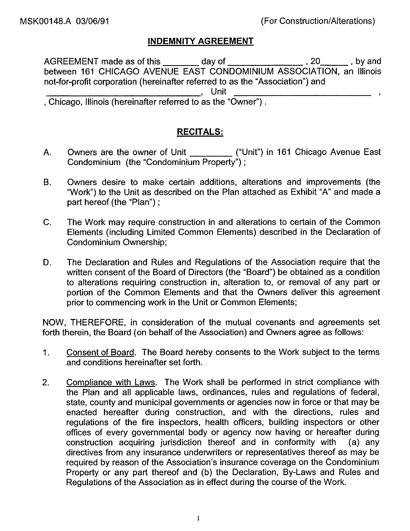## **INDEMNITY AGREEMENT**

not-for-profit corporation (hereinafter referred to as the "Association") and Unit<br>
, Chicago, Illinois (hereinafter referred to as the "Owner").

## **RECITALS:**

- A. Condominium (the "Condominium Property");
- Owners desire to make certain additions, alterations and improvements (the **B.** "Work") to the Unit as described on the Plan attached as Exhibit "A" and made a part hereof (the "Plan");
- $C_{\cdot}$ The Work may require construction in and alterations to certain of the Common Elements (including Limited Common Elements) described in the Declaration of Condominium Ownership;
- D. The Declaration and Rules and Regulations of the Association require that the written consent of the Board of Directors (the "Board") be obtained as a condition to alterations requiring construction in, alteration to, or removal of any part or portion of the Common Elements and that the Owners deliver this agreement prior to commencing work in the Unit or Common Elements;

NOW, THEREFORE, in consideration of the mutual covenants and agreements set forth therein, the Board (on behalf of the Association) and Owners agree as follows:

- Consent of Board. The Board hereby consents to the Work subject to the terms  $1.$ and conditions hereinafter set forth.
- Compliance with Laws. The Work shall be performed in strict compliance with  $2.$ the Plan and all applicable laws, ordinances, rules and regulations of federal, state, county and municipal governments or agencies now in force or that may be enacted hereafter during construction, and with the directions, rules and regulations of the fire inspectors, health officers, building inspectors or other offices of every governmental body or agency now having or hereafter during construction acquiring jurisdiction thereof and in conformity with  $(a)$  any directives from any insurance underwriters or representatives thereof as may be required by reason of the Association's insurance coverage on the Condominium Property or any part thereof and (b) the Declaration, By-Laws and Rules and Regulations of the Association as in effect during the course of the Work.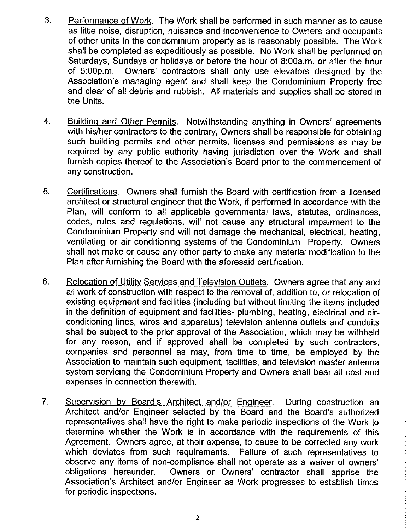- 3. Performance of Work. The Work shall be performed in such manner as to cause as little noise, disruption, nuisance and inconvenience to Owners and occupants of other units in the condominium property as is reasonably possible. The Work shall be completed as expeditiously as possible. No Work shall be performed on Saturdays, Sundays or holidays or before the hour of 8:00a.m. or after the hour of  $5:00p.m.$ Owners' contractors shall only use elevators designed by the Association's managing agent and shall keep the Condominium Property free and clear of all debris and rubbish. All materials and supplies shall be stored in the Units.
- 4. Building and Other Permits. Notwithstanding anything in Owners' agreements with his/her contractors to the contrary, Owners shall be responsible for obtaining such building permits and other permits, licenses and permissions as may be required by any public authority having jurisdiction over the Work and shall furnish copies thereof to the Association's Board prior to the commencement of any construction.
- 5. Certifications. Owners shall furnish the Board with certification from a licensed architect or structural engineer that the Work, if performed in accordance with the Plan, will conform to all applicable governmental laws, statutes, ordinances, codes, rules and regulations, will not cause any structural impairment to the Condominium Property and will not damage the mechanical, electrical, heating, ventilating or air conditioning systems of the Condominium Property. Owners shall not make or cause any other party to make any material modification to the Plan after furnishing the Board with the aforesaid certification.
- $6.$ Relocation of Utility Services and Television Outlets. Owners agree that any and all work of construction with respect to the removal of, addition to, or relocation of existing equipment and facilities (including but without limiting the items included in the definition of equipment and facilities- plumbing, heating, electrical and airconditioning lines, wires and apparatus) television antenna outlets and conduits shall be subject to the prior approval of the Association, which may be withheld for any reason, and if approved shall be completed by such contractors, companies and personnel as may, from time to time, be employed by the Association to maintain such equipment, facilities, and television master antenna system servicing the Condominium Property and Owners shall bear all cost and expenses in connection therewith.
- $7<sub>1</sub>$ Supervision by Board's Architect and/or Engineer. During construction an Architect and/or Engineer selected by the Board and the Board's authorized representatives shall have the right to make periodic inspections of the Work to determine whether the Work is in accordance with the requirements of this Agreement. Owners agree, at their expense, to cause to be corrected any work which deviates from such requirements. Failure of such representatives to observe any items of non-compliance shall not operate as a waiver of owners' Owners or Owners' contractor shall apprise the obligations hereunder. Association's Architect and/or Engineer as Work progresses to establish times for periodic inspections.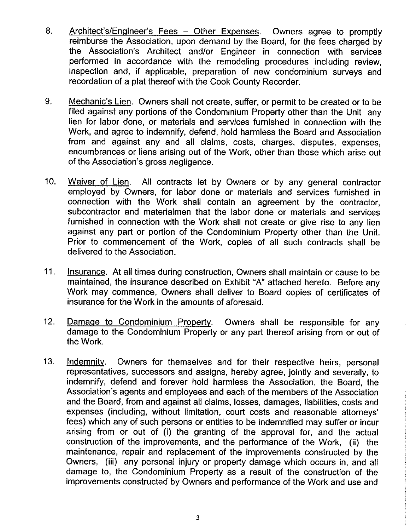- 8. Architect's/Engineer's Fees - Other Expenses. Owners agree to promptly reimburse the Association, upon demand by the Board, for the fees charged by the Association's Architect and/or Engineer in connection with services performed in accordance with the remodeling procedures including review, inspection and, if applicable, preparation of new condominium surveys and recordation of a plat thereof with the Cook County Recorder.
- 9. Mechanic's Lien. Owners shall not create, suffer, or permit to be created or to be filed against any portions of the Condominium Property other than the Unit any lien for labor done, or materials and services furnished in connection with the Work, and agree to indemnify, defend, hold harmless the Board and Association from and against any and all claims, costs, charges, disputes, expenses, encumbrances or liens arising out of the Work, other than those which arise out of the Association's gross negligence.
- Waiver of Lien. All contracts let by Owners or by any general contractor  $10<sub>1</sub>$ employed by Owners, for labor done or materials and services furnished in connection with the Work shall contain an agreement by the contractor, subcontractor and materialmen that the labor done or materials and services furnished in connection with the Work shall not create or give rise to any lien against any part or portion of the Condominium Property other than the Unit. Prior to commencement of the Work, copies of all such contracts shall be delivered to the Association.
- $11.$ Insurance. At all times during construction, Owners shall maintain or cause to be maintained, the insurance described on Exhibit "A" attached hereto. Before any Work may commence, Owners shall deliver to Board copies of certificates of insurance for the Work in the amounts of aforesaid.
- $12.$ Damage to Condominium Property. Owners shall be responsible for any damage to the Condominium Property or any part thereof arising from or out of the Work.
- $13.$ Indemnity. Owners for themselves and for their respective heirs, personal representatives, successors and assigns, hereby agree, jointly and severally, to indemnify, defend and forever hold harmless the Association, the Board, the Association's agents and employees and each of the members of the Association and the Board, from and against all claims, losses, damages, liabilities, costs and expenses (including, without limitation, court costs and reasonable attorneys' fees) which any of such persons or entities to be indemnified may suffer or incur arising from or out of (i) the granting of the approval for, and the actual construction of the improvements, and the performance of the Work, (ii) the maintenance, repair and replacement of the improvements constructed by the Owners, (iii) any personal injury or property damage which occurs in, and all damage to, the Condominium Property as a result of the construction of the improvements constructed by Owners and performance of the Work and use and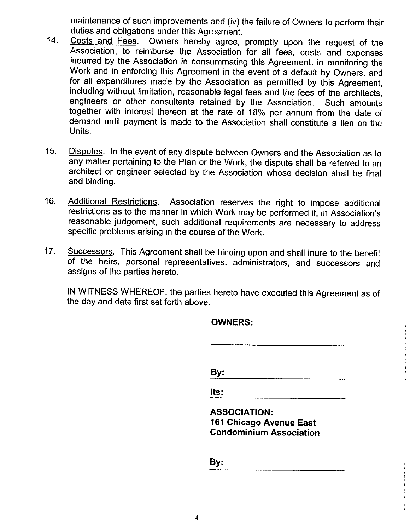maintenance of such improvements and (iv) the failure of Owners to perform their duties and obligations under this Agreement.

- Costs and Fees. Owners hereby agree, promptly upon the request of the  $14.$ Association, to reimburse the Association for all fees, costs and expenses incurred by the Association in consummating this Agreement, in monitoring the Work and in enforcing this Agreement in the event of a default by Owners, and for all expenditures made by the Association as permitted by this Agreement, including without limitation, reasonable legal fees and the fees of the architects, engineers or other consultants retained by the Association. Such amounts together with interest thereon at the rate of 18% per annum from the date of demand until payment is made to the Association shall constitute a lien on the Units.
- Disputes. In the event of any dispute between Owners and the Association as to  $15.$ any matter pertaining to the Plan or the Work, the dispute shall be referred to an architect or engineer selected by the Association whose decision shall be final and binding.
- $16.$ Association reserves the right to impose additional **Additional Restrictions.** restrictions as to the manner in which Work may be performed if, in Association's reasonable judgement, such additional requirements are necessary to address specific problems arising in the course of the Work.
- $17.$ Successors. This Agreement shall be binding upon and shall inure to the benefit of the heirs, personal representatives, administrators, and successors and assigns of the parties hereto.

IN WITNESS WHEREOF, the parties hereto have executed this Agreement as of the day and date first set forth above.

By:

| <b>OWNERS:</b> |  |
|----------------|--|
|----------------|--|

lts:

**ASSOCIATION:** 161 Chicago Avenue East **Condominium Association** 

By: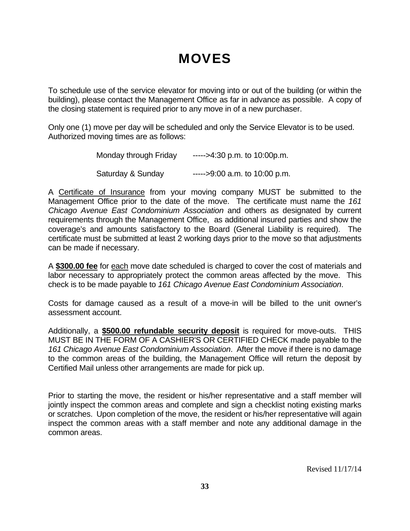# **MOVES**

To schedule use of the service elevator for moving into or out of the building (or within the building), please contact the Management Office as far in advance as possible. A copy of the closing statement is required prior to any move in of a new purchaser.

Only one (1) move per day will be scheduled and only the Service Elevator is to be used. Authorized moving times are as follows:

| Monday through Friday | $---$ >4:30 p.m. to 10:00p.m.  |
|-----------------------|--------------------------------|
| Saturday & Sunday     | $---$ >9:00 a.m. to 10:00 p.m. |

A Certificate of Insurance from your moving company MUST be submitted to the Management Office prior to the date of the move. The certificate must name the *161 Chicago Avenue East Condominium Association* and others as designated by current requirements through the Management Office, as additional insured parties and show the coverage's and amounts satisfactory to the Board (General Liability is required). The certificate must be submitted at least 2 working days prior to the move so that adjustments can be made if necessary.

A **\$300.00 fee** for each move date scheduled is charged to cover the cost of materials and labor necessary to appropriately protect the common areas affected by the move. This check is to be made payable to *161 Chicago Avenue East Condominium Association*.

Costs for damage caused as a result of a move-in will be billed to the unit owner's assessment account.

Additionally, a **\$500.00 refundable security deposit** is required for move-outs. THIS MUST BE IN THE FORM OF A CASHIER'S OR CERTIFIED CHECK made payable to the *161 Chicago Avenue East Condominium Association*. After the move if there is no damage to the common areas of the building, the Management Office will return the deposit by Certified Mail unless other arrangements are made for pick up.

Prior to starting the move, the resident or his/her representative and a staff member will jointly inspect the common areas and complete and sign a checklist noting existing marks or scratches. Upon completion of the move, the resident or his/her representative will again inspect the common areas with a staff member and note any additional damage in the common areas.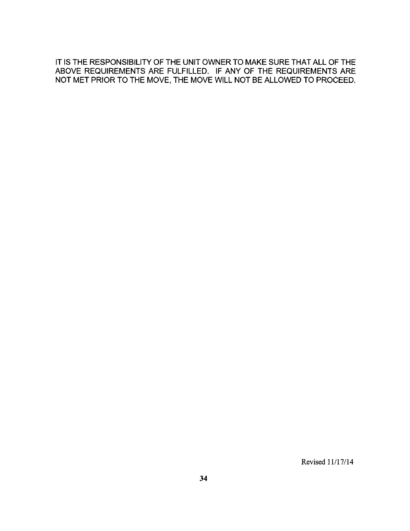IT IS THE RESPONSIBILITY OF THE UNIT OWNER TO MAKE SURE THAT ALL OF THE ABOVE REQUIREMENTS ARE FULFILLED. IF ANY OF THE REQUIREMENTS ARE NOT MET PRIOR TO THE MOVE, THE MOVE WILL NOT BE ALLOWED TO PROCEED.

Revised 11/17/14

 $\sim 10$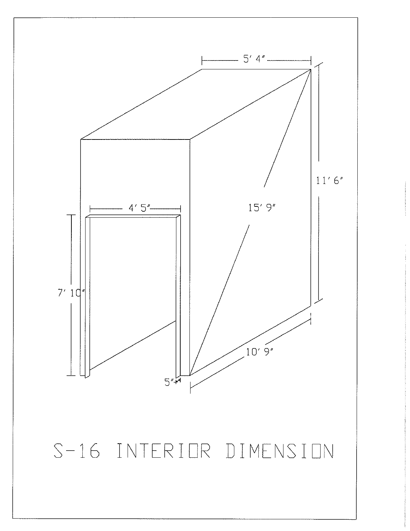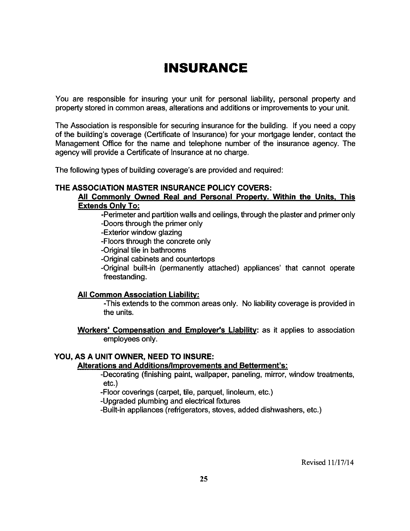# **INSURANCE**

You are responsible for insuring your unit for personal liability, personal property and property stored in common areas, alterations and additions or improvements to your unit.

The Association is responsible for securing insurance for the building. If you need a copy of the building's coverage (Certificate of Insurance) for your mortgage lender, contact the Management Office for the name and telephone number of the insurance agency. The agency will provide a Certificate of Insurance at no charge.

The following types of building coverage's are provided and required:

#### THE ASSOCIATION MASTER INSURANCE POLICY COVERS:

#### Ail Commonly Owned Real and Personal Property. Within the Units, This **Extends Only To:**

-Perimeter and partition walls and ceilings, through the plaster and primer only -Doors through the primer only

- -Exterior window glazing
- -Floors through the concrete only
- -Original tile in bathrooms
- -Original cabinets and countertops

-Original built-in (permanently attached) appliances' that cannot operate freestanding.

#### **All Common Association Liability:**

-This extends to the common areas only. No liability coverage is provided in the units.

Workers' Compensation and Employer's Liability: as it applies to association employees only.

#### YOU, AS A UNIT OWNER, NEED TO INSURE:

#### **Alterations and Additions/Improvements and Betterment's:**

-Decorating (finishing paint, wallpaper, paneling, mirror, window treatments,  $etc.$ )

-Floor coverings (carpet, tile, parquet, linoleum, etc.)

-Upgraded plumbing and electrical fixtures

-Built-in appliances (refrigerators, stoves, added dishwashers, etc.)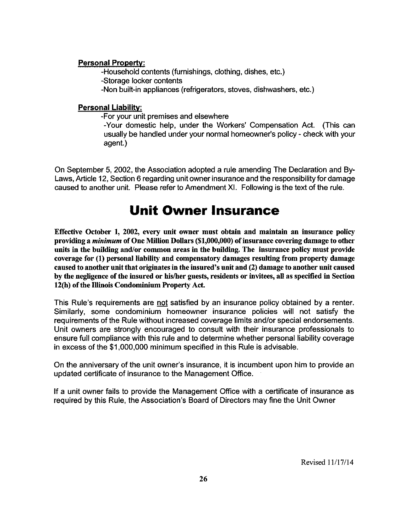### **Personal Property:**

-Household contents (furnishings, clothing, dishes, etc.)

-Storage locker contents

-Non built-in appliances (refrigerators, stoves, dishwashers, etc.)

### **Personal Liability:**

-For your unit premises and elsewhere

-Your domestic help, under the Workers' Compensation Act. (This can usually be handled under your normal homeowner's policy - check with your agent.)

On September 5, 2002, the Association adopted a rule amending The Declaration and By-Laws, Article 12, Section 6 regarding unit owner insurance and the responsibility for damage caused to another unit. Please refer to Amendment XI. Following is the text of the rule.

# **Unit Owner Insurance**

Effective October 1, 2002, every unit owner must obtain and maintain an insurance policy providing a *minimum* of One Million Dollars (\$1,000,000) of insurance covering damage to other units in the building and/or common areas in the building. The insurance policy must provide coverage for (1) personal liability and compensatory damages resulting from property damage caused to another unit that originates in the insured's unit and (2) damage to another unit caused by the negligence of the insured or his/her guests, residents or invitees, all as specified in Section 12(h) of the Illinois Condominium Property Act.

This Rule's requirements are not satisfied by an insurance policy obtained by a renter. Similarly, some condominium homeowner insurance policies will not satisfy the requirements of the Rule without increased coverage limits and/or special endorsements. Unit owners are strongly encouraged to consult with their insurance professionals to ensure full compliance with this rule and to determine whether personal liability coverage in excess of the \$1,000,000 minimum specified in this Rule is advisable.

On the anniversary of the unit owner's insurance, it is incumbent upon him to provide an updated certificate of insurance to the Management Office.

If a unit owner fails to provide the Management Office with a certificate of insurance as required by this Rule, the Association's Board of Directors may fine the Unit Owner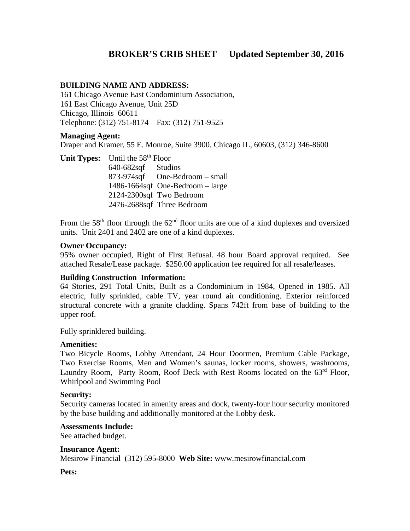## **BROKER'S CRIB SHEET Updated September 30, 2016**

#### **BUILDING NAME AND ADDRESS:**

161 Chicago Avenue East Condominium Association, 161 East Chicago Avenue, Unit 25D Chicago, Illinois 60611 Telephone: (312) 751-8174 Fax: (312) 751-9525

#### **Managing Agent:**

Draper and Kramer, 55 E. Monroe, Suite 3900, Chicago IL, 60603, (312) 346-8600

**Unit Types:** Until the 58<sup>th</sup> Floor 640-682sqf Studios 873-974sqf One-Bedroom – small 1486-1664sqf One-Bedroom – large 2124-2300sqf Two Bedroom 2476-2688sqf Three Bedroom

From the  $58<sup>th</sup>$  floor through the  $62<sup>nd</sup>$  floor units are one of a kind duplexes and oversized units. Unit 2401 and 2402 are one of a kind duplexes.

#### **Owner Occupancy:**

95% owner occupied, Right of First Refusal. 48 hour Board approval required. See attached Resale/Lease package. \$250.00 application fee required for all resale/leases.

#### **Building Construction Information:**

64 Stories, 291 Total Units, Built as a Condominium in 1984, Opened in 1985. All electric, fully sprinkled, cable TV, year round air conditioning. Exterior reinforced structural concrete with a granite cladding. Spans 742ft from base of building to the upper roof.

Fully sprinklered building.

#### **Amenities:**

Two Bicycle Rooms, Lobby Attendant, 24 Hour Doormen, Premium Cable Package, Two Exercise Rooms, Men and Women's saunas, locker rooms, showers, washrooms, Laundry Room, Party Room, Roof Deck with Rest Rooms located on the 63<sup>rd</sup> Floor, Whirlpool and Swimming Pool

#### **Security:**

Security cameras located in amenity areas and dock, twenty-four hour security monitored by the base building and additionally monitored at the Lobby desk.

#### **Assessments Include:**

See attached budget.

#### **Insurance Agent:**

Mesirow Financial (312) 595-8000 **Web Site:** www.mesirowfinancial.com

#### **Pets:**